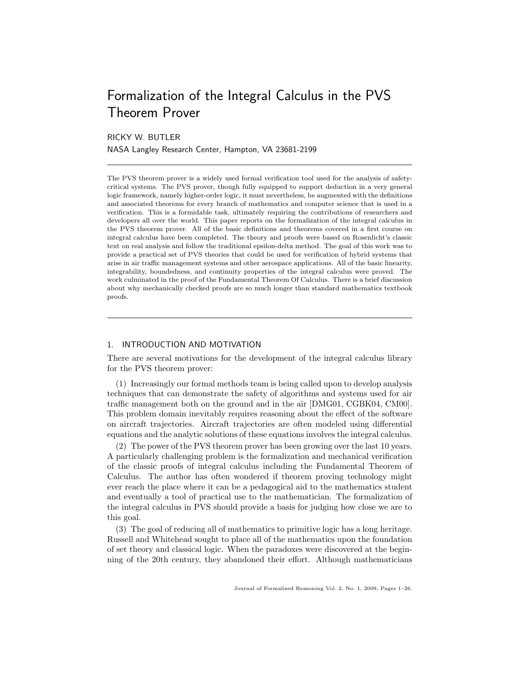# Formalization of the Integral Calculus in the PVS Theorem Prover

RICKY W. BUTLER

NASA Langley Research Center, Hampton, VA 23681-2199

The PVS theorem prover is a widely used formal verification tool used for the analysis of safetycritical systems. The PVS prover, though fully equipped to support deduction in a very general logic framework, namely higher-order logic, it must nevertheless, be augmented with the definitions and associated theorems for every branch of mathematics and computer science that is used in a verification. This is a formidable task, ultimately requiring the contributions of researchers and developers all over the world. This paper reports on the formalization of the integral calculus in the PVS theorem prover. All of the basic definitions and theorems covered in a first course on integral calculus have been completed. The theory and proofs were based on Rosenlicht's classic text on real analysis and follow the traditional epsilon-delta method. The goal of this work was to provide a practical set of PVS theories that could be used for verification of hybrid systems that arise in air traffic management systems and other aerospace applications. All of the basic linearity, integrability, boundedness, and continuity properties of the integral calculus were proved. The work culminated in the proof of the Fundamental Theorem Of Calculus. There is a brief discussion about why mechanically checked proofs are so much longer than standard mathematics textbook proofs.

# 1. INTRODUCTION AND MOTIVATION

There are several motivations for the development of the integral calculus library for the PVS theorem prover:

(1) Increasingly our formal methods team is being called upon to develop analysis techniques that can demonstrate the safety of algorithms and systems used for air traffic management both on the ground and in the air [DMG01, CGBK04, CM00]. This problem domain inevitably requires reasoning about the effect of the software on aircraft trajectories. Aircraft trajectories are often modeled using differential equations and the analytic solutions of these equations involves the integral calculus.

(2) The power of the PVS theorem prover has been growing over the last 10 years. A particularly challenging problem is the formalization and mechanical verification of the classic proofs of integral calculus including the Fundamental Theorem of Calculus. The author has often wondered if theorem proving technology might ever reach the place where it can be a pedagogical aid to the mathematics student and eventually a tool of practical use to the mathematician. The formalization of the integral calculus in PVS should provide a basis for judging how close we are to this goal.

(3) The goal of reducing all of mathematics to primitive logic has a long heritage. Russell and Whitehead sought to place all of the mathematics upon the foundation of set theory and classical logic. When the paradoxes were discovered at the beginning of the 20th century, they abandoned their effort. Although mathematicians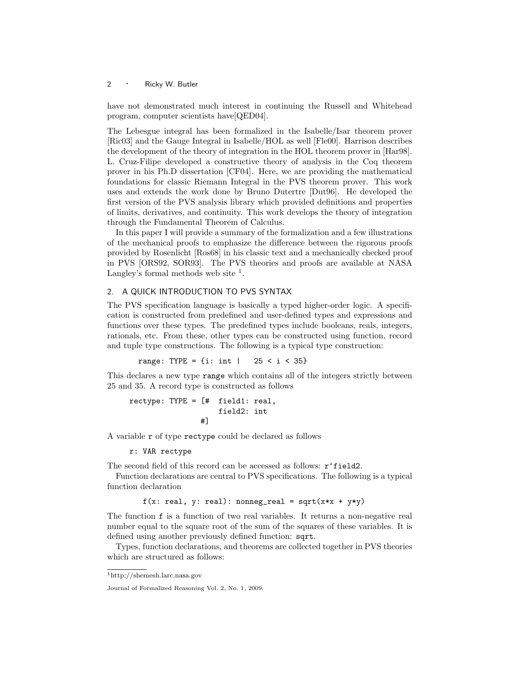have not demonstrated much interest in continuing the Russell and Whitehead program, computer scientists have[QED04].

The Lebesgue integral has been formalized in the Isabelle/Isar theorem prover [Ric03] and the Gauge Integral in Isabelle/HOL as well [Fle00]. Harrison describes the development of the theory of integration in the HOL theorem prover in [Har98]. L. Cruz-Filipe developed a constructive theory of analysis in the Coq theorem prover in his Ph.D dissertation [CF04]. Here, we are providing the mathematical foundations for classic Riemann Integral in the PVS theorem prover. This work uses and extends the work done by Bruno Dutertre [Dut96]. He developed the first version of the PVS analysis library which provided definitions and properties of limits, derivatives, and continuity. This work develops the theory of integration through the Fundamental Theorem of Calculus.

In this paper I will provide a summary of the formalization and a few illustrations of the mechanical proofs to emphasize the difference between the rigorous proofs provided by Rosenlicht [Ros68] in his classic text and a mechanically checked proof in PVS [ORS92, SOR93]. The PVS theories and proofs are available at NASA Langley's formal methods web site  $<sup>1</sup>$ .</sup>

# 2. A QUICK INTRODUCTION TO PVS SYNTAX

The PVS specification language is basically a typed higher-order logic. A specification is constructed from predefined and user-defined types and expressions and functions over these types. The predefined types include booleans, reals, integers, rationals, etc. From these, other types can be constructed using function, record and tuple type constructions. The following is a typical type construction:

range: TYPE = {i: int | 25 < i < 35}

This declares a new type range which contains all of the integers strictly between 25 and 35. A record type is constructed as follows

$$
\begin{aligned}\n &\text{rectype: TYPE} = [\texttt{\#} \quad \text{field1: real}, \\
 &\quad \text{field2: int} \\
 &\quad \texttt{\#}]\n \end{aligned}
$$

A variable r of type rectype could be declared as follows

r: VAR rectype

The second field of this record can be accessed as follows:  $\mathbf{r}'$  field2.

Function declarations are central to PVS specifications. The following is a typical function declaration

 $f(x: real, y: real): nonneg\_real = sqrt(x*x + y*y)$ 

The function f is a function of two real variables. It returns a non-negative real number equal to the square root of the sum of the squares of these variables. It is defined using another previously defined function: sqrt.

Types, function declarations, and theorems are collected together in PVS theories which are structured as follows:

<sup>1</sup>http://shemesh.larc.nasa.gov

Journal of Formalized Reasoning Vol. 2, No. 1, 2009.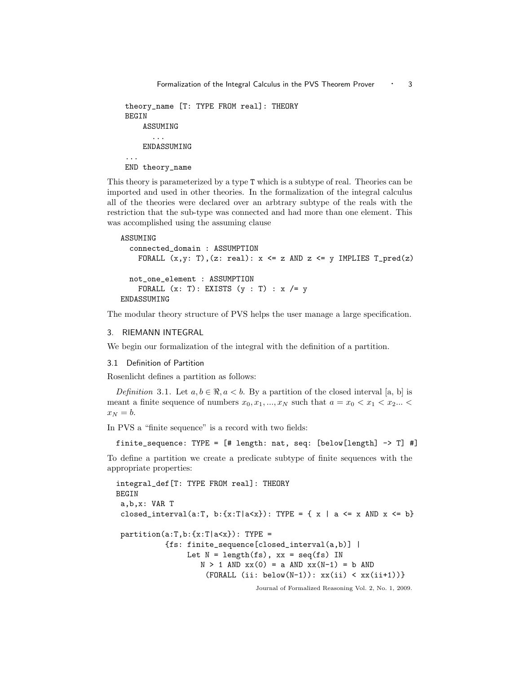```
theory_name [T: TYPE FROM real]: THEORY
BEGIN
    ASSUMING
      ...
    ENDASSUMING
...
END theory_name
```
This theory is parameterized by a type T which is a subtype of real. Theories can be imported and used in other theories. In the formalization of the integral calculus all of the theories were declared over an arbtrary subtype of the reals with the restriction that the sub-type was connected and had more than one element. This was accomplished using the assuming clause

```
ASSUMING
  connected_domain : ASSUMPTION
    FORALL (x,y: T), (z: real): x \le z AND z \le y IMPLIES T<sub>pred</sub>(z)not_one_element : ASSUMPTION
    FORALL (x: T): EXISTS (y: T): x /= yENDASSUMING
```
The modular theory structure of PVS helps the user manage a large specification.

# 3. RIEMANN INTEGRAL

We begin our formalization of the integral with the definition of a partition.

#### 3.1 Definition of Partition

Rosenlicht defines a partition as follows:

Definition 3.1. Let  $a, b \in \mathbb{R}, a < b$ . By a partition of the closed interval [a, b] is meant a finite sequence of numbers  $x_0, x_1, ..., x_N$  such that  $a = x_0 < x_1 < x_2...$  $x_N = b$ .

In PVS a "finite sequence" is a record with two fields:

finite\_sequence: TYPE = [# length: nat, seq: [below[length] -> T] #]

To define a partition we create a predicate subtype of finite sequences with the appropriate properties:

```
integral_def[T: TYPE FROM real]: THEORY
BEGIN
 a,b,x: VAR T
closed_interval(a:T, b:{x:T|a<x}): TYPE = { x | a <= x AND x <= b}
 partition(a:T,b:\{x:T|a<x\}): TYPE =
           {fs: finite_sequence[closed_interval(a,b)] |
                Let N = length(fs), xx = seq(fs) IN
                   N > 1 AND xx(0) = a AND xx(N-1) = b AND
                    (FORALL (ii: below(N-1)): xx(ii) < xx(ii+1))
```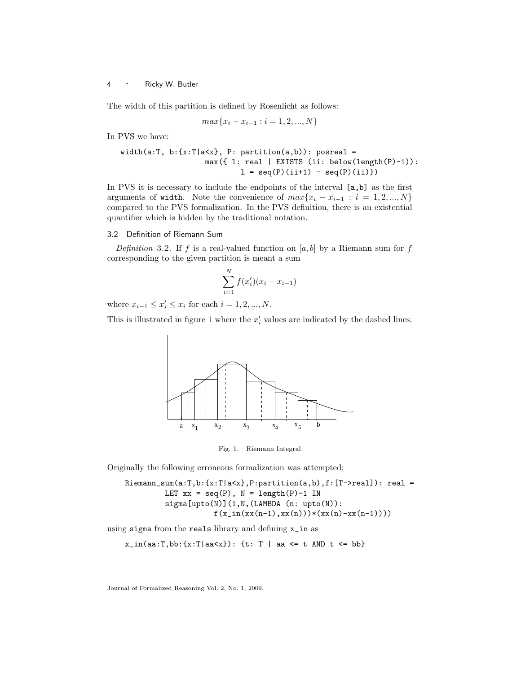The width of this partition is defined by Rosenlicht as follows:

$$
max{x_i - x_{i-1} : i = 1, 2, ..., N}
$$

In PVS we have:

```
width(a:T, b:\{x:T|a<x\}, P: partition(a,b)): posreal =
                     max({ l: real | EXISTS (ii: below(length(P)-1)):
                              1 = \text{seq}(P)(i i + 1) - \text{seq}(P)(i i))
```
In PVS it is necessary to include the endpoints of the interval  $[a, b]$  as the first arguments of width. Note the convenience of  $max\{x_i - x_{i-1} : i = 1, 2, ..., N\}$ compared to the PVS formalization. In the PVS definition, there is an existential quantifier which is hidden by the traditional notation.

# 3.2 Definition of Riemann Sum

Definition 3.2. If f is a real-valued function on  $[a, b]$  by a Riemann sum for f corresponding to the given partition is meant a sum

$$
\sum_{i=1}^{N} f(x'_i)(x_i - x_{i-1})
$$

where  $x_{i-1} \le x'_i \le x_i$  for each  $i = 1, 2, ..., N$ .

This is illustrated in figure 1 where the  $x_i'$  values are indicated by the dashed lines.



Fig. 1. Riemann Integral

Originally the following erroneous formalization was attempted:

```
Riemann\_sum(a:T,b:\{x:T|a\leq x\},P:partition(a,b),f:[T->real]): real =
         LET xx = seq(P), N = length(P)-1 IN
         sigma[upto(N)](1,N,(LAMBDA (n: upto(N)):
                     f(x_in(xx(n-1),xx(n)))*(xx(n)-xx(n-1))))
```
using sigma from the reals library and defining x\_in as

 $x_in(aa:T, bb: {x:T|aa {t: T | aa <= t AND t <= bb}$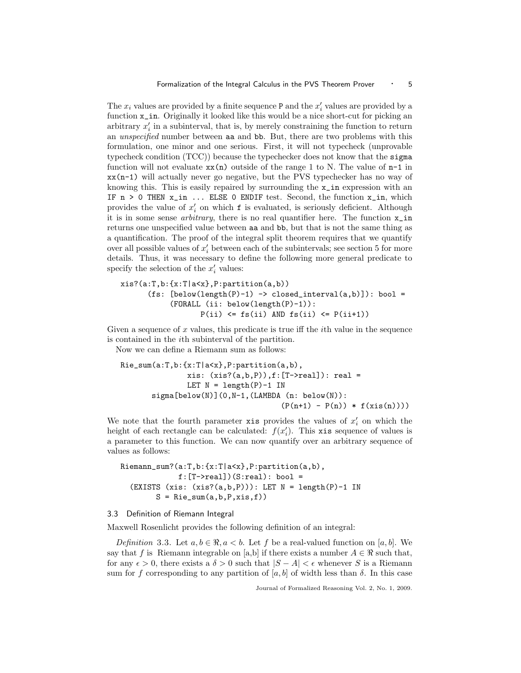The  $x_i$  values are provided by a finite sequence P and the  $x'_i$  values are provided by a function  $x$ <sub>in</sub>. Originally it looked like this would be a nice short-cut for picking an arbitrary  $x_i'$  in a subinterval, that is, by merely constraining the function to return an unspecified number between aa and bb. But, there are two problems with this formulation, one minor and one serious. First, it will not typecheck (unprovable typecheck condition (TCC)) because the typechecker does not know that the sigma function will not evaluate  $xx(n)$  outside of the range 1 to N. The value of  $n-1$  in  $xx(n-1)$  will actually never go negative, but the PVS typechecker has no way of knowing this. This is easily repaired by surrounding the x\_in expression with an IF  $n > 0$  THEN  $x_in$ ... ELSE 0 ENDIF test. Second, the function  $x_in$ , which provides the value of  $x_i'$  on which **f** is evaluated, is seriously deficient. Although it is in some sense arbitrary, there is no real quantifier here. The function x\_in returns one unspecified value between aa and bb, but that is not the same thing as a quantification. The proof of the integral split theorem requires that we quantify over all possible values of  $x_i'$  between each of the subintervals; see section 5 for more details. Thus, it was necessary to define the following more general predicate to specify the selection of the  $x_i'$  values:

```
xis?(a:T,b:\{x:T|a<x\}, P:partition(a,b))(fs: [below(length(P)-1) \rightarrow closed_interestval(a,b)]): bool =(FORALL (ii: below(length(P)-1)):
                   P(i) \leq f_S(i) AND f_S(i) \leq P(i+1)
```
Given a sequence of x values, this predicate is true iff the  $i$ th value in the sequence is contained in the ith subinterval of the partition.

Now we can define a Riemann sum as follows:

```
Rie_sum(a:T,b:{x:T|a<x},P:partition(a,b),
               xis: (xis?(a,b,P)),f:[T->real]): real =
               LET N = length(P)-1 IN
      sigma[below(N)](0,N-1,(LAMBDA (n: below(N)):
                                    (P(n+1) - P(n)) * f(xis(n))))
```
We note that the fourth parameter x is provides the values of  $x_i'$  on which the height of each rectangle can be calculated:  $f(x_i')$ . This xis sequence of values is a parameter to this function. We can now quantify over an arbitrary sequence of values as follows:

Riemann\_sum?(a:T,b:{x:T|a<x},P:partition(a,b),  $f:[T->real])$  (S:real): bool = (EXISTS (xis:  $(xis?(a,b,P))$ ): LET  $N = length(P)-1$  IN  $S = Rie_sum(a, b, P, xis, f))$ 

# 3.3 Definition of Riemann Integral

Maxwell Rosenlicht provides the following definition of an integral:

Definition 3.3. Let  $a, b \in \mathbb{R}, a < b$ . Let f be a real-valued function on [a, b]. We say that f is Riemann integrable on [a,b] if there exists a number  $A \in \mathbb{R}$  such that, for any  $\epsilon > 0$ , there exists a  $\delta > 0$  such that  $|S - A| < \epsilon$  whenever S is a Riemann sum for f corresponding to any partition of [a, b] of width less than  $\delta$ . In this case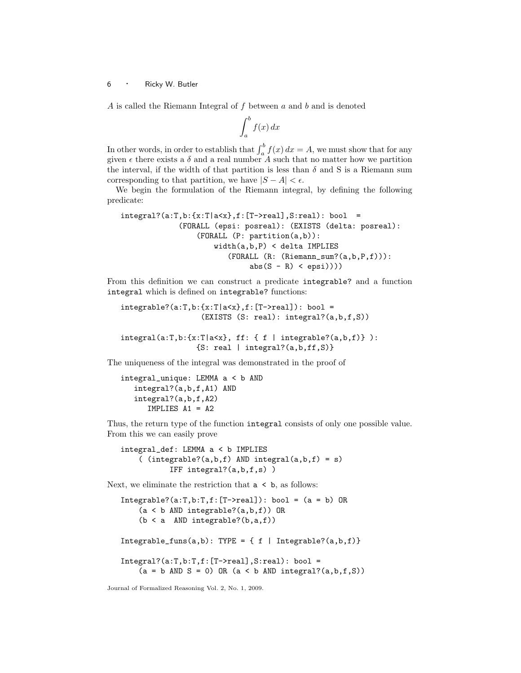A is called the Riemann Integral of  $f$  between  $a$  and  $b$  and is denoted

$$
\int_{a}^{b} f(x) \, dx
$$

In other words, in order to establish that  $\int_a^b f(x) dx = A$ , we must show that for any given  $\epsilon$  there exists a  $\delta$  and a real number A such that no matter how we partition the interval, if the width of that partition is less than  $\delta$  and S is a Riemann sum corresponding to that partition, we have  $|S - A| < \epsilon$ .

We begin the formulation of the Riemann integral, by defining the following predicate:

```
integral?(a:T,b:\{x:T|a<x\},f:[T->real],S:real): bool =(FORALL (epsi: posreal): (EXISTS (delta: posreal):
                 (FORALL (P: partition(a,b)):
                     width(a,b,P) < delta IMPLIES
                        (FORALL (R: (Riemann_sum?(a,b,P,f))):
                             abs(S - R) < epsi)))
```
From this definition we can construct a predicate integrable? and a function integral which is defined on integrable? functions:

```
integrable?(a:T,b:\{x:T|a<x\},f:[T->real]):bool =(EXISTS (S: real): integral?(a,b,f,S))
```

```
integral(a:T,b:\{x:T|a< x\}, ff: { f | integrable? (a,b,f) }\):{S: real | integral?(a,b,ff,S)}
```
The uniqueness of the integral was demonstrated in the proof of

```
integral_unique: LEMMA a < b AND
   integral?(a,b,f,A1) AND
   integral?(a,b,f,A2)
      IMPLIES A1 = A2
```
Thus, the return type of the function integral consists of only one possible value. From this we can easily prove

```
integral_def: LEMMA a < b IMPLIES
    ( (integrable?(a,b,f) AND integral(a,b,f) = s)
           IFF integral?(a,b,f,s) )
```
Next, we eliminate the restriction that  $a \leq b$ , as follows:

```
Integrable?(a:T,b:T,f:[T->real]): bool = (a = b) OR
    (a < b AND integrable?(a,b,f)) OR
    (b < a AND integrable?(b,a,f)Integrable_funs(a,b): TYPE = { f | Integrable?(a,b,f) }Integral?(a:T,b:T,f:[T->real],S:real): bool =
    (a = b AND S = 0) OR (a < b AND integral?(a,b,f,S)
```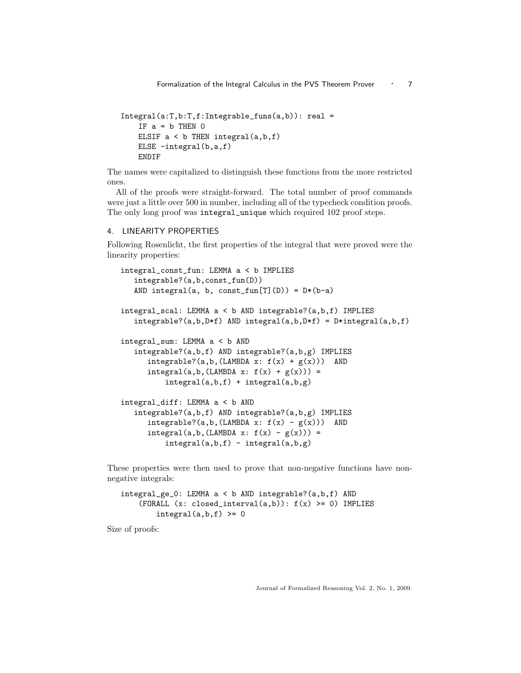```
Integral(a:T,b:T,f:Integrable\_funs(a,b)): real =
   IF a = b THEN 0ELSIF a < b THEN integral(a,b,f)
   ELSE -integral(b,a,f)
   ENDIF
```
The names were capitalized to distinguish these functions from the more restricted ones.

All of the proofs were straight-forward. The total number of proof commands were just a little over 500 in number, including all of the typecheck condition proofs. The only long proof was integral\_unique which required 102 proof steps.

# 4. LINEARITY PROPERTIES

Following Rosenlicht, the first properties of the integral that were proved were the linearity properties:

```
integral_const_fun: LEMMA a < b IMPLIES
   integrable?(a,b,const_fun(D))
   AND integral(a, b, const_fun[T](D)) = D*(b-a)integral_scal: LEMMA a < b AND integrable?(a,b,f) IMPLIES
   integrable?(a,b,D*f) AND integral(a,b,D*f) = D*integral(a,b,f)
integral_sum: LEMMA a < b AND
   integrable?(a,b,f) AND integrable?(a,b,g) IMPLIES
      integrable?(a,b,(LAMBDA x: f(x) + g(x))) AND
      integral(a,b,(LAMBDA x: f(x) + g(x))) =integral(a,b,f) + integral(a,b,g)
integral_diff: LEMMA a < b AND
   integrable?(a,b,f) AND integrable?(a,b,g) IMPLIES
      integrable?(a,b,(LAMBDA x: f(x) - g(x))) AND
      integral(a, b, (LAMBDA x: f(x) - g(x))) =integral(a,b,f) - integral(a,b,g)
```
These properties were then used to prove that non-negative functions have nonnegative integrals:

```
integral_ge_0: LEMMA a < b AND integrable?(a,b,f) AND
    (FORALL (x: closed-interval(a,b)): f(x) \ge 0) IMPLIES
        integral(a,b,f) \ge 0
```
Size of proofs: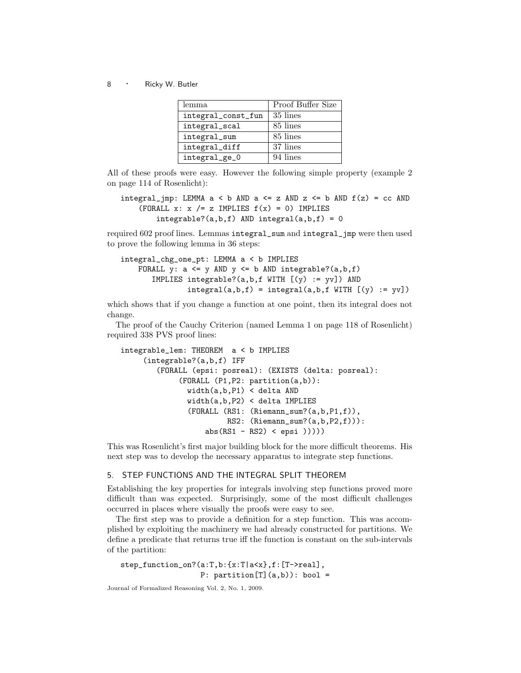| lemma              | Proof Buffer Size |
|--------------------|-------------------|
| integral_const_fun | 35 lines          |
| integral_scal      | 85 lines          |
| integral_sum       | 85 lines          |
| integral_diff      | 37 lines          |
| integral_ge_0      | 94 lines          |

All of these proofs were easy. However the following simple property (example 2 on page 114 of Rosenlicht):

```
integral_jmp: LEMMA a < b AND a \le z AND z \le b AND f(z) = cc AND
    (FORALL x: x /= z IMPLIES f(x) = 0) IMPLIES
        integrable?(a,b,f) AND integral(a,b,f) = 0
```
required 602 proof lines. Lemmas integral\_sum and integral\_jmp were then used to prove the following lemma in 36 steps:

```
integral_chg_one_pt: LEMMA a < b IMPLIES
    FORALL y: a \leq y AND y \leq b AND integrable?(a,b,f)
       IMPLIES integrable?(a, b, f WITH [(y) := yy]) AND
               integral(a,b,f) = integral(a,b,f WITH [y) := yy])
```
which shows that if you change a function at one point, then its integral does not change.

The proof of the Cauchy Criterion (named Lemma 1 on page 118 of Rosenlicht) required 338 PVS proof lines:

```
integrable_lem: THEOREM a < b IMPLIES
     (integrable?(a,b,f) IFF
        (FORALL (epsi: posreal): (EXISTS (delta: posreal):
             (FORALL (P1,P2: partition(a,b)):
               width(a,b,P1) < delta AND
               width(a,b,P2) < delta IMPLIES
               (FORALL (RS1: (Riemann_sum?(a,b,P1,f)),
                        RS2: (Riemann_sum?(a,b,P2,f))):
                   abs(RS1 - RS2) < epsi(1))
```
This was Rosenlicht's first major building block for the more difficult theorems. His next step was to develop the necessary apparatus to integrate step functions.

# 5. STEP FUNCTIONS AND THE INTEGRAL SPLIT THEOREM

Establishing the key properties for integrals involving step functions proved more difficult than was expected. Surprisingly, some of the most difficult challenges occurred in places where visually the proofs were easy to see.

The first step was to provide a definition for a step function. This was accomplished by exploiting the machinery we had already constructed for partitions. We define a predicate that returns true iff the function is constant on the sub-intervals of the partition:

```
step_function_on?(a:T,b:{x:T|a<x},f:[T->real],
                 P: partition[T](a,b): bool =
```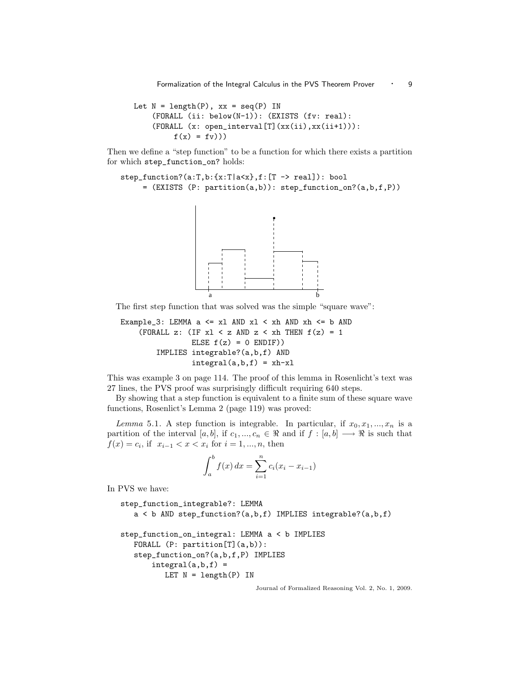Formalization of the Integral Calculus in the PVS Theorem Prover • 9

```
Let N = length(P), xx = seq(P) IN
    (FORALL (ii: below(N-1)): (EXISTS (fv: real):
    (FORALL (x: open_interval[T](xx(ii),xx(ii+1))):
         f(x) = f(y))
```
Then we define a "step function" to be a function for which there exists a partition for which step\_function\_on? holds:

```
step_function?(a:T,b:{x:T|a<x},f:[T -> real]): bool
     = (EXISTS (P: partition(a,b)): step_function_on?(a,b,f,P))
```


The first step function that was solved was the simple "square wave":

```
Example_3: LEMMA a \le x1 AND x1 \le xh AND xh \le b AND
    (FORALL z: (IF x1 < z AND z < xh THEN f(z) = 1ELSE f(z) = 0 ENDIF))
        IMPLIES integrable?(a,b,f) AND
                integral(a,b,f) = xh-xl
```
This was example 3 on page 114. The proof of this lemma in Rosenlicht's text was 27 lines, the PVS proof was surprisingly difficult requiring 640 steps.

By showing that a step function is equivalent to a finite sum of these square wave functions, Rosenlict's Lemma 2 (page 119) was proved:

Lemma 5.1. A step function is integrable. In particular, if  $x_0, x_1, ..., x_n$  is a partition of the interval [a, b], if  $c_1, ..., c_n \in \Re$  and if  $f : [a, b] \longrightarrow \Re$  is such that  $f(x) = c_i$ , if  $x_{i-1} < x < x_i$  for  $i = 1, ..., n$ , then

$$
\int_{a}^{b} f(x) dx = \sum_{i=1}^{n} c_i (x_i - x_{i-1})
$$

In PVS we have:

```
step_function_integrable?: LEMMA
   a < b AND step_function?(a,b,f) IMPLIES integrable?(a,b,f)
step_function_on_integral: LEMMA a < b IMPLIES
   FORALL (P: partition[T](a,b)):
   step_function_on?(a,b,f,P) IMPLIES
      integral(a,b,f) =LET N = length(P) IN
```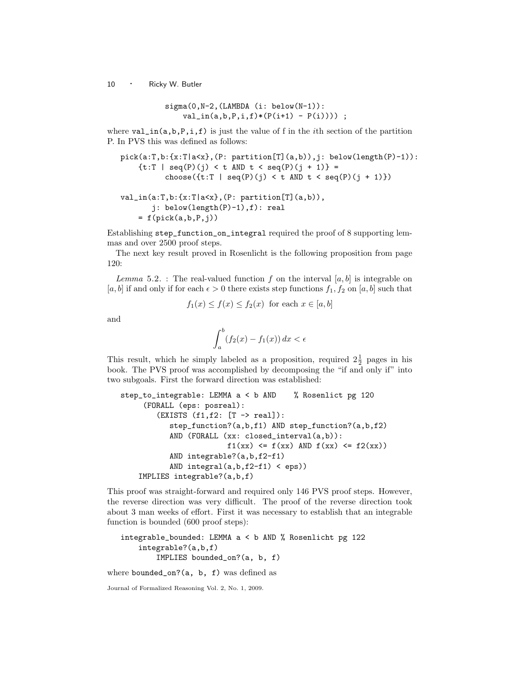$$
sigma(0,N-2,(LAMBDA (i: below(N-1)): val_in(a,b,P,i,f)*(P(i+1) - P(i)))) ;
$$

where  $val_in(a,b,P,i,f)$  is just the value of f in the *i*th section of the partition P. In PVS this was defined as follows:

```
pick(a:T,b:\{x:T|a<x\}, (P: partition[T](a,b)), j: below(length(P)-1)):{t:T | seq(P)(j) < t AND t < seq(P)(j + 1)} =
          choose({t:T | seq(P)(j) < t AND t < seq(P)(j + 1)})
```

```
val_in(a:T,b:{x:T|a<x},(P: partition[T](a,b)),
       j: below(length(P)-1),f): real
    = f(pick(a,b,P,j))
```
Establishing step\_function\_on\_integral required the proof of 8 supporting lemmas and over 2500 proof steps.

The next key result proved in Rosenlicht is the following proposition from page 120:

Lemma 5.2. : The real-valued function f on the interval  $[a, b]$  is integrable on [a, b] if and only if for each  $\epsilon > 0$  there exists step functions  $f_1, f_2$  on [a, b] such that

$$
f_1(x) \le f(x) \le f_2(x) \text{ for each } x \in [a, b]
$$

and

$$
\int_{a}^{b} (f_2(x) - f_1(x)) dx < \epsilon
$$

This result, which he simply labeled as a proposition, required  $2\frac{1}{2}$  pages in his book. The PVS proof was accomplished by decomposing the "if and only if" into two subgoals. First the forward direction was established:

```
step_to_integrable: LEMMA a < b AND % Rosenlict pg 120
     (FORALL (eps: posreal):
        (EXISTS (f1,f2: [T -> real]):
           step_function?(a,b,f1) AND step_function?(a,b,f2)
           AND (FORALL (xx: closed_interval(a,b)):
                        f1(xx) <= f(xx) AND f(xx) <= f2(xx))
           AND integrable?(a,b,f2-f1)
           AND integral(a,b,f2-f1) < eps))
    IMPLIES integrable?(a,b,f)
```
This proof was straight-forward and required only 146 PVS proof steps. However, the reverse direction was very difficult. The proof of the reverse direction took about 3 man weeks of effort. First it was necessary to establish that an integrable function is bounded (600 proof steps):

```
integrable_bounded: LEMMA a < b AND % Rosenlicht pg 122
    integrable?(a,b,f)
        IMPLIES bounded_on?(a, b, f)
```
where bounded\_on? $(a, b, f)$  was defined as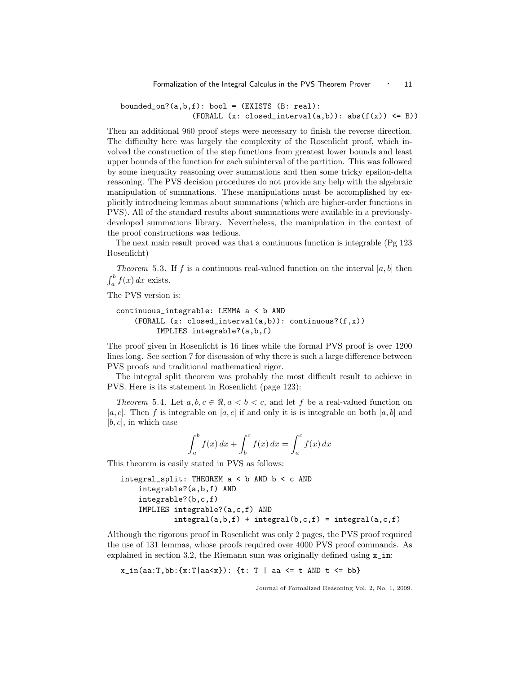bounded\_on? $(a,b,f)$ : bool =  $(EXISTS (B: real)$ :  $(FORMLL (x: closed-interval(a, b)) : abs(f(x)) \leq B))$ 

Then an additional 960 proof steps were necessary to finish the reverse direction. The difficulty here was largely the complexity of the Rosenlicht proof, which involved the construction of the step functions from greatest lower bounds and least upper bounds of the function for each subinterval of the partition. This was followed by some inequality reasoning over summations and then some tricky epsilon-delta reasoning. The PVS decision procedures do not provide any help with the algebraic manipulation of summations. These manipulations must be accomplished by explicitly introducing lemmas about summations (which are higher-order functions in PVS). All of the standard results about summations were available in a previouslydeveloped summations library. Nevertheless, the manipulation in the context of the proof constructions was tedious.

The next main result proved was that a continuous function is integrable (Pg 123 Rosenlicht)

*Theorem* 5.3. If f is a continuous real-valued function on the interval [a, b] then  $\int_a^b f(x) dx$  exists.

The PVS version is:

```
continuous_integrable: LEMMA a < b AND
    (FORALL (x: closed_interval(a,b)): continuous?(f,x))
         IMPLIES integrable?(a,b,f)
```
The proof given in Rosenlicht is 16 lines while the formal PVS proof is over 1200 lines long. See section 7 for discussion of why there is such a large difference between PVS proofs and traditional mathematical rigor.

The integral split theorem was probably the most difficult result to achieve in PVS. Here is its statement in Rosenlicht (page 123):

Theorem 5.4. Let  $a, b, c \in \mathbb{R}, a < b < c$ , and let f be a real-valued function on  $[a, c]$ . Then f is integrable on  $[a, c]$  if and only it is is integrable on both  $[a, b]$  and  $[b, c]$ , in which case

$$
\int_a^b f(x) dx + \int_b^c f(x) dx = \int_a^c f(x) dx
$$

This theorem is easily stated in PVS as follows:

```
integral_split: THEOREM a < b AND b < c AND
    integrable?(a,b,f) AND
    integrable?(b,c,f)
    IMPLIES integrable?(a,c,f) AND
            integral(a,b,f) + integral(b,c,f) = integral(a,c,f)
```
Although the rigorous proof in Rosenlicht was only 2 pages, the PVS proof required the use of 131 lemmas, whose proofs required over 4000 PVS proof commands. As explained in section 3.2, the Riemann sum was originally defined using  $x_in$ :

```
x_in(aa:T, bb: {x:T|aa<x}: : {\text{t}: T | aa &lt;= t AND t &lt;= bb}
```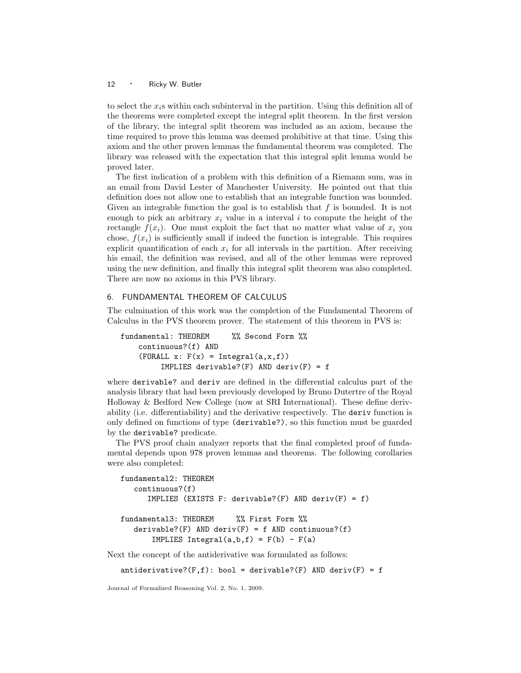to select the  $x_i$ s within each subinterval in the partition. Using this definition all of the theorems were completed except the integral split theorem. In the first version of the library, the integral split theorem was included as an axiom, because the time required to prove this lemma was deemed prohibitive at that time. Using this axiom and the other proven lemmas the fundamental theorem was completed. The library was released with the expectation that this integral split lemma would be proved later.

The first indication of a problem with this definition of a Riemann sum, was in an email from David Lester of Manchester University. He pointed out that this definition does not allow one to establish that an integrable function was bounded. Given an integrable function the goal is to establish that  $f$  is bounded. It is not enough to pick an arbitrary  $x_i$  value in a interval i to compute the height of the rectangle  $f(x_i)$ . One must exploit the fact that no matter what value of  $x_i$  you chose,  $f(x_i)$  is sufficiently small if indeed the function is integrable. This requires explicit quantification of each  $x_i$  for all intervals in the partition. After receiving his email, the definition was revised, and all of the other lemmas were reproved using the new definition, and finally this integral split theorem was also completed. There are now no axioms in this PVS library.

# 6. FUNDAMENTAL THEOREM OF CALCULUS

The culmination of this work was the completion of the Fundamental Theorem of Calculus in the PVS theorem prover. The statement of this theorem in PVS is:

```
fundamental: THEOREM %% Second Form %%
    continuous?(f) AND
    (FORMLL x: F(x) = Integral(a, x, f))IMPLIES derivable?(F) AND deriv(F) = f
```
where derivable? and deriv are defined in the differential calculus part of the analysis library that had been previously developed by Bruno Dutertre of the Royal Holloway & Bedford New College (now at SRI International). These define derivability (i.e. differentiability) and the derivative respectively. The deriv function is only defined on functions of type (derivable?), so this function must be guarded by the derivable? predicate.

The PVS proof chain analyzer reports that the final completed proof of fundamental depends upon 978 proven lemmas and theorems. The following corollaries were also completed:

```
fundamental2: THEOREM
   continuous?(f)
      IMPLIES (EXISTS F: derivable?(F) AND deriv(F) = f)
fundamental3: THEOREM %% First Form %%
   derivable?(F) AND deriv(F) = f AND continuous?(f)
       IMPLIES Integral(a,b,f) = F(b) - F(a)
```
Next the concept of the antiderivative was formulated as follows:

```
antiderivative?(F, f): bool = derivable?(F) AND deriv(F) = f
```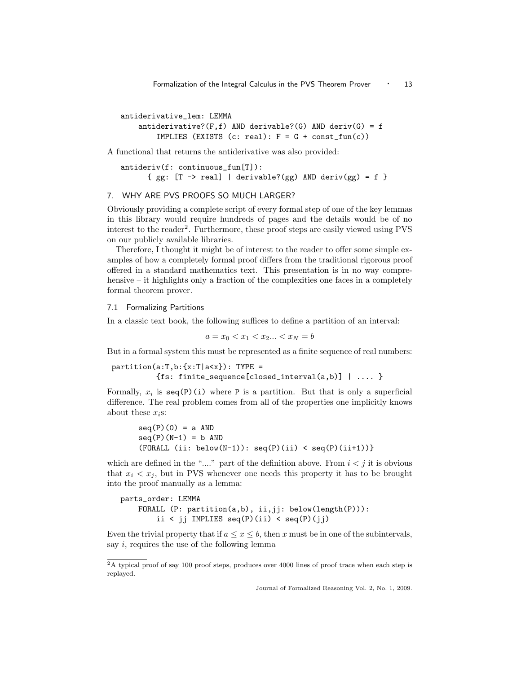antiderivative\_lem: LEMMA antiderivative? $(F, f)$  AND derivable? $(G)$  AND deriv $(G) = f$ IMPLIES (EXISTS  $(c: real): F = G + const\_fun(c)$ )

A functional that returns the antiderivative was also provided:

```
antideriv(f: continuous_fun[T]):
      { gg: [T -> real] | derivable?(gg) AND deriv(gg) = f }
```
# 7. WHY ARE PVS PROOFS SO MUCH LARGER?

Obviously providing a complete script of every formal step of one of the key lemmas in this library would require hundreds of pages and the details would be of no interest to the reader<sup>2</sup>. Furthermore, these proof steps are easily viewed using PVS on our publicly available libraries.

Therefore, I thought it might be of interest to the reader to offer some simple examples of how a completely formal proof differs from the traditional rigorous proof offered in a standard mathematics text. This presentation is in no way comprehensive – it highlights only a fraction of the complexities one faces in a completely formal theorem prover.

# 7.1 Formalizing Partitions

In a classic text book, the following suffices to define a partition of an interval:

 $a = x_0 < x_1 < x_2... < x_N = b$ 

But in a formal system this must be represented as a finite sequence of real numbers:

```
partition(a:T,b:\{x:T|a\leq x\}): TYPE =
          {fs: finite_sequence[closed_interval(a,b)] | .... }
```
Formally,  $x_i$  is  $\text{seq}(P)(i)$  where P is a partition. But that is only a superficial difference. The real problem comes from all of the properties one implicitly knows about these  $x_i$ s:

```
seq(P)(0) = a AND
seq(P)(N-1) = b AND
(FORMLL (ii: below(N-1)): seq(P)(ii) < seq(P)(ii+1))
```
which are defined in the "...." part of the definition above. From  $i < j$  it is obvious that  $x_i < x_j$ , but in PVS whenever one needs this property it has to be brought into the proof manually as a lemma:

```
parts_order: LEMMA
   FORALL (P: partition(a,b), ii,jj: below(length(P))):
        ii < jj IMPLIES seq(P)(ii) < seq(P)(jj)
```
Even the trivial property that if  $a \leq x \leq b$ , then x must be in one of the subintervals, say i, requires the use of the following lemma

<sup>2</sup>A typical proof of say 100 proof steps, produces over 4000 lines of proof trace when each step is replayed.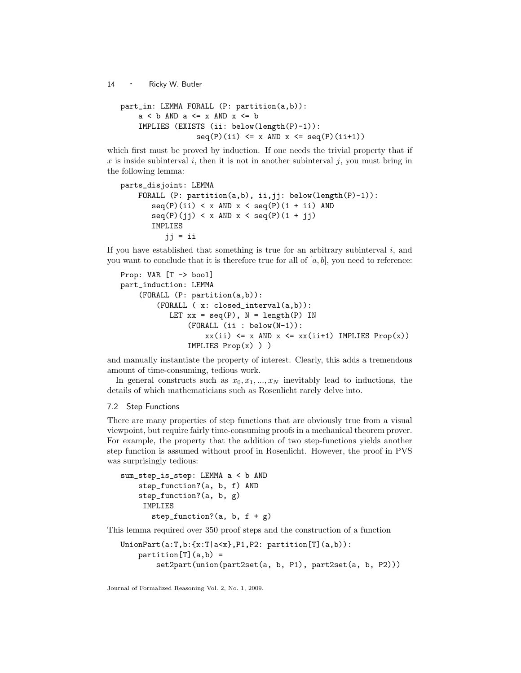```
part_in: LEMMA FORALL (P: partition(a,b)):
    a < b AND a \le x AND x \le bIMPLIES (EXISTS (ii: below(length(P)-1)):
                 seq(P)(ii) \leq x AND x \leq seq(P)(ii+1)
```
which first must be proved by induction. If one needs the trivial property that if x is inside subinterval i, then it is not in another subinterval j, you must bring in the following lemma:

```
parts_disjoint: LEMMA
   FORALL (P: partition(a,b), ii,jj: below(length(P)-1)):
       seq(P)(ii) < x AND x < seq(P)(1 + ii) AND
      seq(P)(jj) < x AND x < seq(P)(1 + jj)IMPLIES
          jj = ii
```
If you have established that something is true for an arbitrary subinterval  $i$ , and you want to conclude that it is therefore true for all of  $[a, b]$ , you need to reference:

```
Prop: VAR [T -> bool]
part_induction: LEMMA
    (FORALL (P: partition(a,b)):
        (FORALL ( x: closed_interval(a,b)):
           LET xx = seq(P), N = length(P) IN
               (FORALL (ii : below(N-1)):
                   xx(i) \leq x AND x \leq xx(ii+1) IMPLIES Prop(x))
               IMPLIES Prop(x) ) )
```
and manually instantiate the property of interest. Clearly, this adds a tremendous amount of time-consuming, tedious work.

In general constructs such as  $x_0, x_1, ..., x_N$  inevitably lead to inductions, the details of which mathematicians such as Rosenlicht rarely delve into.

# 7.2 Step Functions

There are many properties of step functions that are obviously true from a visual viewpoint, but require fairly time-consuming proofs in a mechanical theorem prover. For example, the property that the addition of two step-functions yields another step function is assumed without proof in Rosenlicht. However, the proof in PVS was surprisingly tedious:

```
sum_step_is_step: LEMMA a < b AND
    step_function?(a, b, f) AND
    step_function?(a, b, g)
     IMPLIES
       step_function?(a, b, f + g)
```
This lemma required over 350 proof steps and the construction of a function

```
UnionPart(a:T,b:\{x:T|a\leq x\}, P1, P2: partition [T](a,b)):
    partition[T](a,b) =set2part(union(part2set(a, b, P1), part2set(a, b, P2)))
```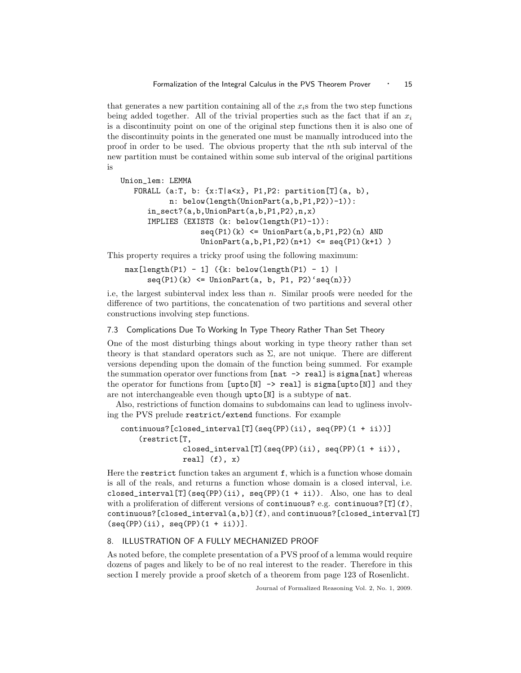that generates a new partition containing all of the  $x_i$ s from the two step functions being added together. All of the trivial properties such as the fact that if an  $x_i$ is a discontinuity point on one of the original step functions then it is also one of the discontinuity points in the generated one must be manually introduced into the proof in order to be used. The obvious property that the nth sub interval of the new partition must be contained within some sub interval of the original partitions is

```
Union_lem: LEMMA
   FORALL (a:T, b: {x:T|a<x}, P1,P2: partition[T](a, b),
           n: below(length(UnionPart(a,b,P1,P2))-1)):
      in_sect?(a,b,UnionPart(a,b,P1,P2),n,x)
      IMPLIES (EXISTS (k: below(length(P1)-1)):
                  seq(P1)(k) \leq UnionPart(a, b, P1, P2)(n) AND
                  UnionPart(a, b, P1, P2)(n+1) \leq seq(P1)(k+1)
```
This property requires a tricky proof using the following maximum:

 $max[length(P1) - 1]$  ({k: below(length(P1) - 1) |  $seq(P1)(k) \leq UnionPart(a, b, P1, P2)'seq(n))$ 

i.e, the largest subinterval index less than n. Similar proofs were needed for the difference of two partitions, the concatenation of two partitions and several other constructions involving step functions.

# 7.3 Complications Due To Working In Type Theory Rather Than Set Theory

One of the most disturbing things about working in type theory rather than set theory is that standard operators such as  $\Sigma$ , are not unique. There are different versions depending upon the domain of the function being summed. For example the summation operator over functions from  $[nat \rightarrow real]$  is sigma [nat] whereas the operator for functions from  $[$ upto $[N]$  -> real] is sigma $[$ upto $[N]$ ] and they are not interchangeable even though upto[N] is a subtype of nat.

Also, restrictions of function domains to subdomains can lead to ugliness involving the PVS prelude restrict/extend functions. For example

```
continuous?[closed_interval[T](seq(PP)(ii), seq(PP)(1 + ii))]
    (restrict[T,
              closed_interval[T](seq(PP)(ii), seq(PP)(1 + ii)),
              real] (f), x)
```
Here the restrict function takes an argument  $f$ , which is a function whose domain is all of the reals, and returns a function whose domain is a closed interval, i.e. closed\_interval[T](seq(PP)(ii), seq(PP)(1 + ii)). Also, one has to deal with a proliferation of different versions of continuous? e.g. continuous? [T](f), continuous?[closed\_interval(a,b)](f), and continuous?[closed\_interval[T]  $(seq(PP)(ii), seq(PP)(1 + ii))$ .

# 8. ILLUSTRATION OF A FULLY MECHANIZED PROOF

As noted before, the complete presentation of a PVS proof of a lemma would require dozens of pages and likely to be of no real interest to the reader. Therefore in this section I merely provide a proof sketch of a theorem from page 123 of Rosenlicht.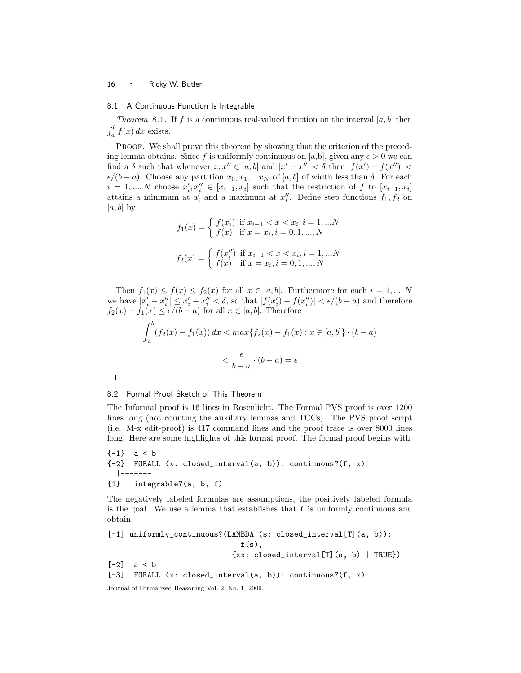#### 8.1 A Continuous Function Is Integrable

Theorem 8.1. If f is a continuous real-valued function on the interval  $[a, b]$  then  $\int_a^b f(x) dx$  exists.

PROOF. We shall prove this theorem by showing that the criterion of the preceding lemma obtains. Since f is uniformly continuous on [a,b], given any  $\epsilon > 0$  we can find a  $\delta$  such that whenever  $x, x'' \in [a, b]$  and  $|x' - x''| < \delta$  then  $|f(x') - f(x'')| <$  $\epsilon/(b-a)$ . Choose any partition  $x_0, x_1, ... x_N$  of [a, b] of width less than  $\delta$ . For each  $i = 1, ..., N$  choose  $x'_i, x''_i \in [x_{i-1}, x_i]$  such that the restriction of f to  $[x_{i-1}, x_i]$ attains a minimum at  $a'_i$  and a maximum at  $x''_i$ . Define step functions  $f_1, f_2$  on  $[a, b]$  by

$$
f_1(x) = \begin{cases} f(x'_i) & \text{if } x_{i-1} < x < x_i, i = 1, \dots, N \\ f(x) & \text{if } x = x_i, i = 0, 1, \dots, N \end{cases}
$$
\n
$$
f_2(x) = \begin{cases} f(x''_i) & \text{if } x_{i-1} < x < x_i, i = 1, \dots, N \\ f(x) & \text{if } x = x_i, i = 0, 1, \dots, N \end{cases}
$$

Then  $f_1(x) \le f(x) \le f_2(x)$  for all  $x \in [a, b]$ . Furthermore for each  $i = 1, ..., N$ we have  $|x'_i - x''_i| \leq x'_i - x''_i < \delta$ , so that  $|f(x'_i) - f(x''_i)| < \epsilon/(b - a)$  and therefore  $f_2(x) - f_1(x) \le \epsilon/(b - a)$  for all  $x \in [a, b]$ . Therefore

$$
\int_{a}^{b} (f_2(x) - f_1(x)) dx < \max\{f_2(x) - f_1(x) : x \in [a, b]\} \cdot (b - a)
$$
\n
$$
\langle \frac{\epsilon}{b - a} \cdot (b - a) \rangle = \epsilon
$$

 $\Box$ 

#### 8.2 Formal Proof Sketch of This Theorem

The Informal proof is 16 lines in Rosenlicht. The Formal PVS proof is over 1200 lines long (not counting the auxiliary lemmas and TCCs). The PVS proof script (i.e. M-x edit-proof) is 417 command lines and the proof trace is over 8000 lines long. Here are some highlights of this formal proof. The formal proof begins with

```
{-1} a < b
{-2} FORALL (x: closed_interval(a, b)): continuous?(f, x)
  |-------
{1} integrable?(a, b, f)
```
The negatively labeled formulas are assumptions, the positively labeled formula is the goal. We use a lemma that establishes that f is uniformly continuous and obtain

```
[-1] uniformly_continuous?(LAMBDA (s: closed_interval[T](a, b)):
                              f(s),
                            {xx: closed_interval[T](a, b) | TRUE})
[-2] a < b
[-3] FORALL (x: closed_interval(a, b)): continuous?(f, x)
```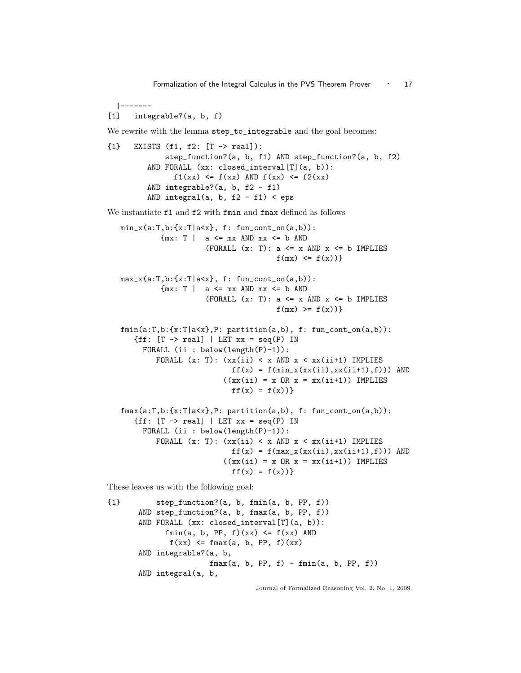|-------

[1] integrable?(a, b, f)

We rewrite with the lemma step\_to\_integrable and the goal becomes:

```
{1} EXISTS (f1, f2: [T -> real]):
             step_function?(a, b, f1) AND step_function?(a, b, f2)
         AND FORALL (xx: closed_interval[T](a, b)):
              f1(xx) \le f(xx) AND f(xx) \le f2(xx)AND integrable?(a, b, f2 - f1)
         AND integral(a, b, f2 - f1) < eps
```
We instantiate f1 and f2 with fmin and fmax defined as follows

```
min_x(a:T,b:\{x:T|a<x\}, f: fun_count_of(a,b)):
          {mx: T | a \leq mx AND mx \leq b AND}(FORALL (x: T): a \leq x AND x \leq b IMPLIES
                                       f(mx) \leq f(x))max_x(a:T,b: {x:T|a<x}, f: fun_count_of(a,b)):
          \{mx: T \mid a \leq mx \text{ AND } mx \leq b \text{ AND}(FORALL (x: T): a \leq x AND x \leq b IMPLIES
                                        f(mx) \geq f(x))fmin(a:T,b:\{x:T|a\leq x\},P: partition(a,b), f: fun_cont_on(a,b)):
   {ff: [T \rightarrow real] | LET xx = seq(P) IN}FORALL (ii : below(length(P)-1)):
         FORALL (x: T): (xx(ii) < x AND x < xx(ii+1) IMPLIES)ff(x) = f(min_x(xx(ii),xx(ii+1),f))) AND
                          ((xx(ii) = x \tOR x = xx(ii+1)) \tIMPLIES\mathtt{ff}(\mathtt{x}) = \mathtt{f}(\mathtt{x}))\}fmax(a:T,b:{x:T|a<x},P: partition(a,b), f: fun_cont_on(a,b)):
   {ff: [T \rightarrow real] | LET xx = seq(P) IN
     FORALL (ii : below(length(P)-1)):
         FORALL (x: T): (xx(ii) < x AND x < xx(ii+1) IMPLIESff(x) = f(max_x(xx(ii),xx(ii+1),f))) AND
                          ((xx(ii) = x \tOR x = xx(ii+1)) \tIMPLIES
```
 $ff(x) = f(x))$ 

These leaves us with the following goal:

```
{1} step_function?(a, b, fmin(a, b, PP, f))
      AND step_function?(a, b, fmax(a, b, PP, f))
      AND FORALL (xx: closed_interval[T](a, b)):
            fmin(a, b, PP, f)(xx) \leq f(xx) AND
             f(xx) \leq fmax(a, b, PP, f)(xx)AND integrable?(a, b,
                      fmax(a, b, PP, f) - fmin(a, b, PP, f))AND integral(a, b,
```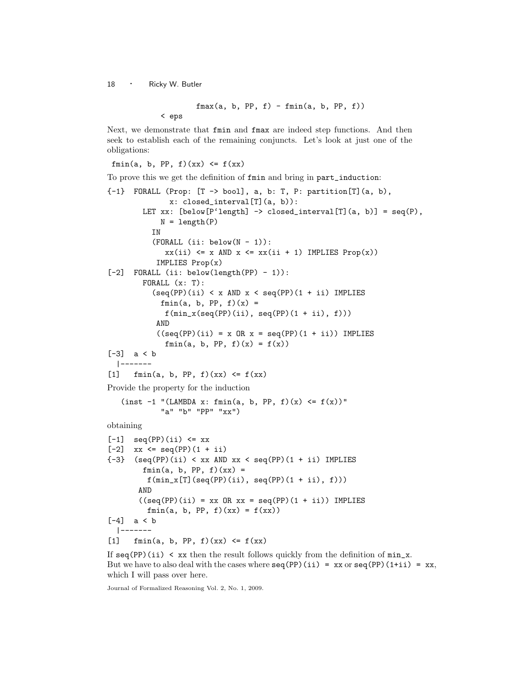$fmax(a, b, PP, f) - fmin(a, b, PP, f))$ < eps

Next, we demonstrate that fmin and fmax are indeed step functions. And then seek to establish each of the remaining conjuncts. Let's look at just one of the obligations:

fmin(a, b, PP, f)(xx)  $\leq f(xx)$ 

To prove this we get the definition of fmin and bring in part\_induction:

```
{-1} FORALL (Prop: [T -> bool], a, b: T, P: partition[T](a, b),
              x: closed_interval[T](a, b)):
        LET xx: [below[P'length] \rightarrow closed_interval[T](a, b)] = seq(P),
            N = length(P)IN
          (FORMLL (ii: below(N - 1)):
             xx(i) \leq x AND x \leq xx(i + 1) IMPLIES Prop(x)IMPLIES Prop(x)
[-2] FORALL (ii: below(length(PP) - 1)):
        FORALL (x: T):
          (seq(PP)(ii) < x AND x < seq(PP)(1 + ii) IMPLIES
            fmin(a, b, PP, f)(x) =f(min_x(seq(PP)(ii), seq(PP)(1 + ii), f)))AND
           ((seq(PP)(ii) = x \tOR x = seq(PP)(1 + ii)) \tIMPLIESfmin(a, b, PP, f)(x) = f(x)[-3] a < b
  |-------
[1] fmin(a, b, PP, f)(xx) \leq f(xx)Provide the property for the induction
   (inst -1 "(LAMBDA x: fmin(a, b, PP, f)(x) <= f(x))"
            "a" "b" "PP" "xx")
obtaining
[-1] seq(PP)(ii) <= xx
[-2] xx <= seq(PP)(1 + ii)
{-3} (seq(PP)(ii) < xx AND xx < seq(PP)(1 + ii) IMPLIES
        fmin(a, b, PP, f)(xx) =f(min_x[T](seq(PP)(ii), seq(PP)(1 + ii), f)))
```

```
AND
       ((seq(PP)(ii) = xx \tOR xx = seq(PP)(1 + ii)) \tIMPLIESfmin(a, b, PP, f)(xx) = f(xx)[-4] a < b
  |-------
```
[1]  $fmin(a, b, PP, f)(xx) \le f(xx)$ 

If  $seq(PP)(ii) < xx$  then the result follows quickly from the definition of  $min_x$ . But we have to also deal with the cases where  $seq(PP)(ii) = xx$  or  $seq(PP)(1+ii) = xx$ , which I will pass over here.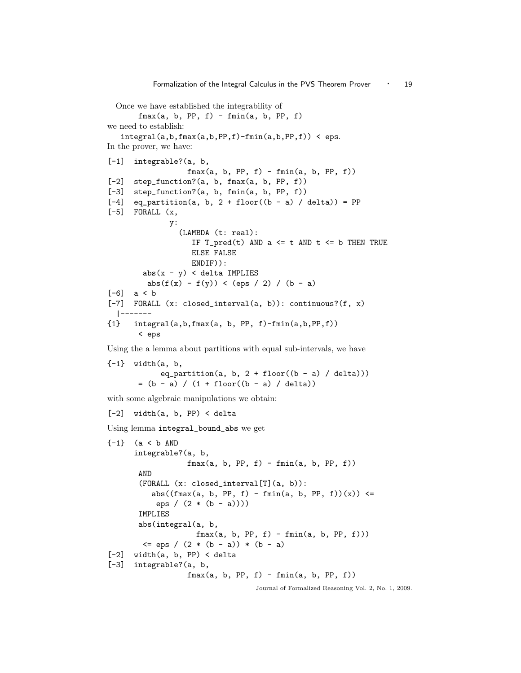```
Once we have established the integrability of
       fmax(a, b, PP, f) - fmin(a, b, PP, f)we need to establish:
   integral(a,b, fmax(a,b, PP, f) - fmin(a,b, PP, f)) < eps.In the prover, we have:
[-1] integrable?(a, b,
                  fmax(a, b, PP, f) - fmin(a, b, PP, f))[-2] step_function?(a, b, fmax(a, b, PP, f))
[-3] step_function?(a, b, fmin(a, b, PP, f))
[-4] eq_partition(a, b, 2 + floor((b - a) / delta)) = PP
[-5] FORALL (x,y:
                 (LAMBDA (t: real):
                   IF T_{pred}(t) AND a \leq t AND t \leq b THEN TRUE
                   ELSE FALSE
                   ENDIF)):
        abs(x - y) < delta IMPLIES
         abs(f(x) - f(y)) < (eps / 2) / (b - a)
[-6] a < b
[-7] FORALL (x: closed_interval(a, b)): continuous?(f, x)
  |-------
{1} integral(a,b,fmax(a, b, PP, f)-fmin(a,b,PP,f))
       < eps
```
Using the a lemma about partitions with equal sub-intervals, we have

```
{-1} width(a, b,
             eq_partition(a, b, 2 + \text{floor}((b - a) / \text{delta})))= (b - a) / (1 + float((b - a) / delta))
```
with some algebraic manipulations we obtain:

```
[-2] width(a, b, PP) < delta
```
Using lemma integral\_bound\_abs we get

```
{-1} (a < b AND
     integrable?(a, b,
                  fmax(a, b, PP, f) - fmin(a, b, PP, f))AND
       (FORALL (x: closed_interval[T](a, b)):
         abs((fmax(a, b, PP, f) - fmin(a, b, PP, f))(x)) <=
           eps / (2 * (b - a))))
      IMPLIES
      abs(integral(a, b,
                    fmax(a, b, PP, f) - fmin(a, b, PP, f)))\leq eps / (2 * (b - a)) * (b - a)[-2] width(a, b, PP) < delta
[-3] integrable?(a, b,
                  fmax(a, b, PP, f) - fmin(a, b, PP, f))
```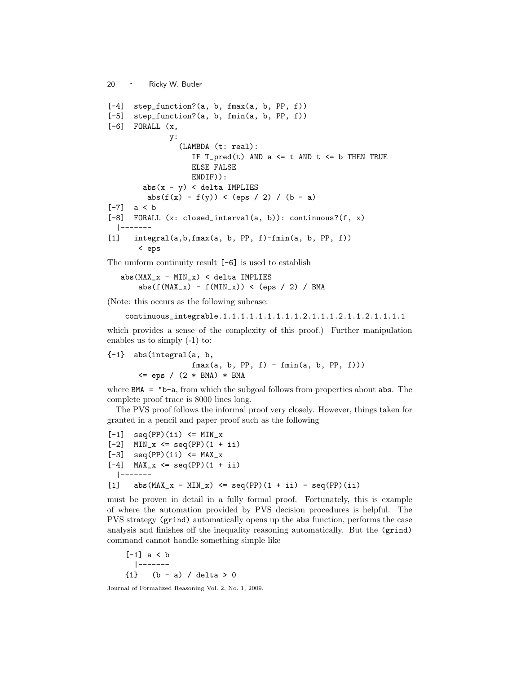```
20 · Ricky W. Butler
[-4] step_function?(a, b, fmax(a, b, PP, f))
[-5] step_function?(a, b, fmin(a, b, PP, f))
[-6] FORALL (x,y:
                (LAMBDA (t: real):
                   IF T_{pred}(t) AND a \leq t AND t \leq b THEN TRUE
                   ELSE FALSE
                   ENDIF)):
        abs(x - y) < delta IMPLIES
         abs(f(x) - f(y)) < (eps / 2) / (b - a)
[-7] a < b
[-8] FORALL (x: closed_interval(a, b)): continuous?(f, x)
  |-------
[1] integral(a,b,fmax(a, b, PP, f)-fmin(a, b, PP, f))
       < eps
```
The uniform continuity result [-6] is used to establish

```
abs(MAX_x - MIN_x) < delta IMPLIESabs(f(MAX_x) - f(MIN_x)) < (eps / 2) / BMA
```
(Note: this occurs as the following subcase:

```
continuous_integrable.1.1.1.1.1.1.1.1.1.2.1.1.1.2.1.1.2.1.1.1.1
```
which provides a sense of the complexity of this proof.) Further manipulation enables us to simply (-1) to:

```
{-1} abs(integral(a, b,
                   fmax(a, b, PP, f) - fmin(a, b, PP, f)))\leq eps / (2 * BMA) * BMA
```
where BMA = "b-a, from which the subgoal follows from properties about abs. The complete proof trace is 8000 lines long.

The PVS proof follows the informal proof very closely. However, things taken for granted in a pencil and paper proof such as the following

```
[-1] seq(PP)(ii) <= MIN_x
[-2] MIN_x <= seq(PP)(1 + ii)
[-3] seq(PP)(ii) <= MAX_x
[-4] MAX<sub>-X</sub> <= seq(PP)(1 + ii)
 |-------
[1] abs(MAX_x - MIN_x) \leq seq(PP)(1 + ii) - seq(PP)(ii)
```
must be proven in detail in a fully formal proof. Fortunately, this is example of where the automation provided by PVS decision procedures is helpful. The PVS strategy (grind) automatically opens up the abs function, performs the case analysis and finishes off the inequality reasoning automatically. But the (grind) command cannot handle something simple like

[-1] a < b |-------  ${1}$  (b - a) / delta > 0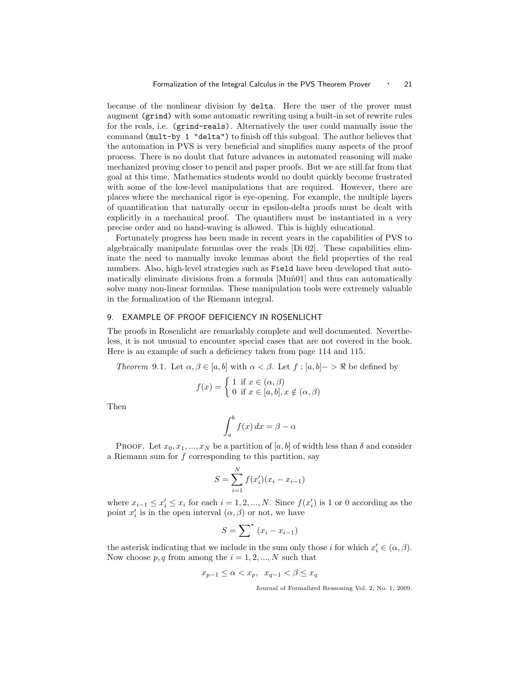because of the nonlinear division by delta. Here the user of the prover must augment (grind) with some automatic rewriting using a built-in set of rewrite rules for the reals, i.e. (grind-reals). Alternatively the user could manually issue the command (mult-by 1 "delta") to finish off this subgoal. The author believes that the automation in PVS is very beneficial and simplifies many aspects of the proof process. There is no doubt that future advances in automated reasoning will make mechanized proving closer to pencil and paper proofs. But we are still far from that goal at this time. Mathematics students would no doubt quickly become frustrated with some of the low-level manipulations that are required. However, there are places where the mechanical rigor is eye-opening. For example, the multiple layers of quantification that naturally occur in epsilon-delta proofs must be dealt with explicitly in a mechanical proof. The quantifiers must be instantiated in a very precise order and no hand-waving is allowed. This is highly educational.

Fortunately progress has been made in recent years in the capabilities of PVS to algebraically manipulate formulas over the reals [Di 02]. These capabilities eliminate the need to manually invoke lemmas about the field properties of the real numbers. Also, high-level strategies such as Field have been developed that automatically eliminate divisions from a formula  $[Mu\tilde{n}01]$  and thus can automatically solve many non-linear formulas. These manipulation tools were extremely valuable in the formalization of the Riemann integral.

# 9. EXAMPLE OF PROOF DEFICIENCY IN ROSENLICHT

The proofs in Rosenlicht are remarkably complete and well documented. Nevertheless, it is not unusual to encounter special cases that are not covered in the book. Here is an example of such a deficiency taken from page 114 and 115.

Theorem 9.1. Let  $\alpha, \beta \in [a, b]$  with  $\alpha < \beta$ . Let  $f : [a, b] \rightarrow \Re$  be defined by

$$
f(x) = \begin{cases} 1 & \text{if } x \in (\alpha, \beta) \\ 0 & \text{if } x \in [a, b], x \notin (\alpha, \beta) \end{cases}
$$

Then

$$
\int_{a}^{b} f(x) \, dx = \beta - \alpha
$$

PROOF. Let  $x_0, x_1, ..., x_N$  be a partition of  $[a, b]$  of width less than  $\delta$  and consider a Riemann sum for  $f$  corresponding to this partition, say

$$
S = \sum_{i=1}^{N} f(x_i')(x_i - x_{i-1})
$$

where  $x_{i-1} \leq x'_{i} \leq x_{i}$  for each  $i = 1, 2, ..., N$ . Since  $f(x'_{i})$  is 1 or 0 according as the point  $x_i'$  is in the open interval  $(\alpha, \beta)$  or not, we have

$$
S = \sum^* (x_i - x_{i-1})
$$

the asterisk indicating that we include in the sum only those *i* for which  $x'_i \in (\alpha, \beta)$ . Now choose  $p, q$  from among the  $i = 1, 2, ..., N$  such that

$$
x_{p-1}\leq \alpha
$$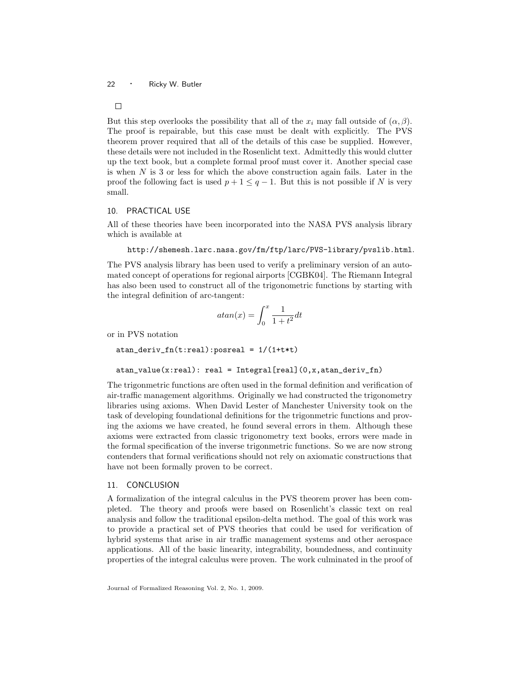But this step overlooks the possibility that all of the  $x_i$  may fall outside of  $(\alpha, \beta)$ . The proof is repairable, but this case must be dealt with explicitly. The PVS theorem prover required that all of the details of this case be supplied. However, these details were not included in the Rosenlicht text. Admittedly this would clutter up the text book, but a complete formal proof must cover it. Another special case is when  $N$  is 3 or less for which the above construction again fails. Later in the proof the following fact is used  $p + 1 \leq q - 1$ . But this is not possible if N is very small.

# 10. PRACTICAL USE

All of these theories have been incorporated into the NASA PVS analysis library which is available at

```
http://shemesh.larc.nasa.gov/fm/ftp/larc/PVS-library/pvslib.html.
```
The PVS analysis library has been used to verify a preliminary version of an automated concept of operations for regional airports [CGBK04]. The Riemann Integral has also been used to construct all of the trigonometric functions by starting with the integral definition of arc-tangent:

$$
atan(x)=\int_0^x\frac{1}{1+t^2}dt
$$

or in PVS notation

```
atan_deriv_fn(t:real):posreal = 1/(1+t*t)
```

```
atan_value(x:real): real = Integral[real](0,x,atan_deriv_fn)
```
The trigonmetric functions are often used in the formal definition and verification of air-traffic management algorithms. Originally we had constructed the trigonometry libraries using axioms. When David Lester of Manchester University took on the task of developing foundational definitions for the trigonmetric functions and proving the axioms we have created, he found several errors in them. Although these axioms were extracted from classic trigonometry text books, errors were made in the formal specification of the inverse trigonmetric functions. So we are now strong contenders that formal verifications should not rely on axiomatic constructions that have not been formally proven to be correct.

# 11. CONCLUSION

A formalization of the integral calculus in the PVS theorem prover has been completed. The theory and proofs were based on Rosenlicht's classic text on real analysis and follow the traditional epsilon-delta method. The goal of this work was to provide a practical set of PVS theories that could be used for verification of hybrid systems that arise in air traffic management systems and other aerospace applications. All of the basic linearity, integrability, boundedness, and continuity properties of the integral calculus were proven. The work culminated in the proof of

 $\Box$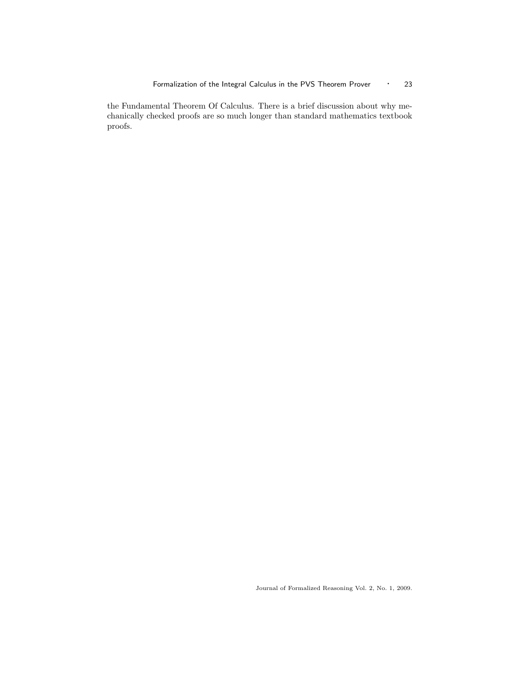the Fundamental Theorem Of Calculus. There is a brief discussion about why mechanically checked proofs are so much longer than standard mathematics textbook proofs.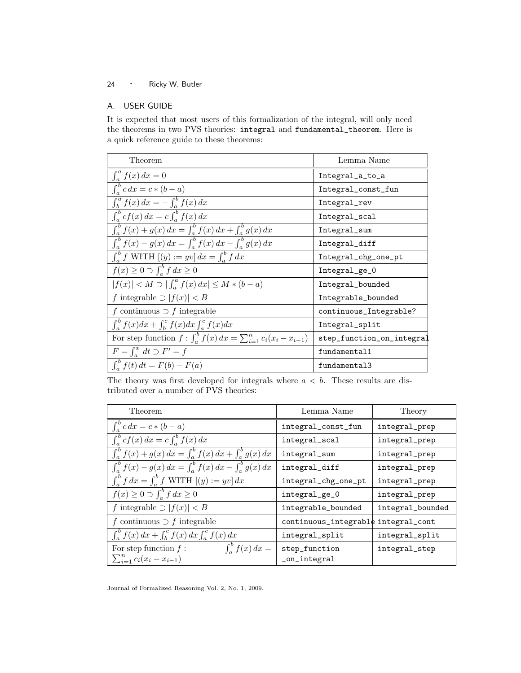# A. USER GUIDE

It is expected that most users of this formalization of the integral, will only need the theorems in two PVS theories: integral and fundamental\_theorem. Here is a quick reference guide to these theorems:

| Theorem                                                                     | Lemma Name                |  |
|-----------------------------------------------------------------------------|---------------------------|--|
|                                                                             | Integral_a_to_a           |  |
| $\frac{\int_a^a f(x) dx = 0}{\int_a^b c dx = c * (b - a)}$                  | Integral_const_fun        |  |
| $\int_b^a f(x) dx = - \int_a^b f(x) dx$                                     | Integral_rev              |  |
| $\int_a^b cf(x) dx = c \int_a^b f(x) dx$                                    | Integral_scal             |  |
| $\int_{a}^{b} f(x) + g(x) dx = \int_{a}^{b} f(x) dx + \int_{a}^{b} g(x) dx$ | Integral_sum              |  |
| $\int_{a}^{b} f(x) - g(x) dx = \int_{a}^{b} f(x) dx - \int_{a}^{b} g(x) dx$ | Integral_diff             |  |
| $\int_a^b f \text{ WITH } [(y) := yv] dx = \int_a^b f dx$                   | Integral_chg_one_pt       |  |
| $f(x) \geq 0 \supset \int_a^b f dx \geq 0$                                  | Integral_ge_0             |  |
| $ f(x)  < M \supset   \int_a^a f(x) dx   \le M * (b - a)$                   | Integral_bounded          |  |
| f integrable $\supset  f(x)  < B$                                           | Integrable_bounded        |  |
| f continuous $\supset f$ integrable                                         | continuous_Integrable?    |  |
| $\int_a^b f(x)dx + \int_b^c f(x)dx \int_a^c f(x)dx$                         | Integral_split            |  |
| For step function $f: \int_a^b f(x) dx = \sum_{i=1}^n c_i (x_i - x_{i-1})$  | step_function_on_integral |  |
| $F = \int_a^x dt \supset F' = f$                                            | fundamental1              |  |
| $\int_{a}^{b} f(t) dt = F(b) - F(a)$                                        | fundamental3              |  |

The theory was first developed for integrals where  $a < b$ . These results are distributed over a number of PVS theories:

| Lemma Name                          | Theory           |
|-------------------------------------|------------------|
| integral_const_fun                  | integral_prep    |
| integral_scal                       | integral_prep    |
| integral_sum                        | integral_prep    |
| integral_diff                       | integral_prep    |
| integral_chg_one_pt                 | integral_prep    |
| integral_ge_0                       | integral_prep    |
| integrable_bounded                  | integral_bounded |
| continuous_integrable integral_cont |                  |
| integral_split                      | integral_split   |
| step_function<br>_on_integral       | integral_step    |
|                                     |                  |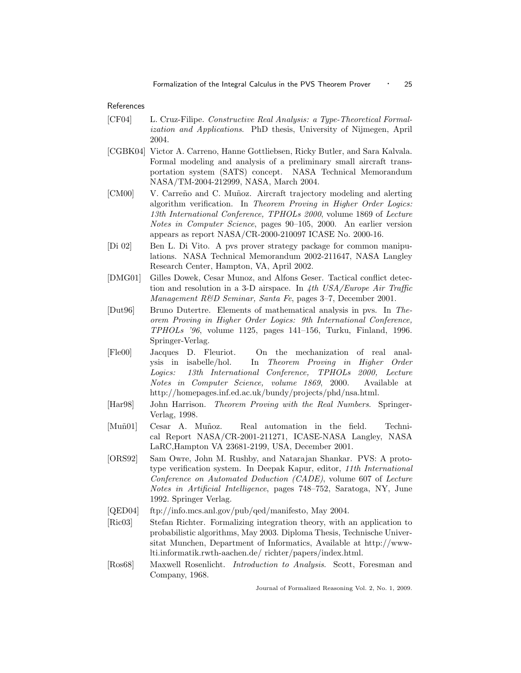References

- [CF04] L. Cruz-Filipe. Constructive Real Analysis: a Type-Theoretical Formalization and Applications. PhD thesis, University of Nijmegen, April 2004.
- [CGBK04] Victor A. Carreno, Hanne Gottliebsen, Ricky Butler, and Sara Kalvala. Formal modeling and analysis of a preliminary small aircraft transportation system (SATS) concept. NASA Technical Memorandum NASA/TM-2004-212999, NASA, March 2004.
- [CM00] V. Carreño and C. Muñoz. Aircraft trajectory modeling and alerting algorithm verification. In Theorem Proving in Higher Order Logics: 13th International Conference, TPHOLs 2000, volume 1869 of Lecture Notes in Computer Science, pages 90–105, 2000. An earlier version appears as report NASA/CR-2000-210097 ICASE No. 2000-16.
- [Di 02] Ben L. Di Vito. A pvs prover strategy package for common manipulations. NASA Technical Memorandum 2002-211647, NASA Langley Research Center, Hampton, VA, April 2002.
- [DMG01] Gilles Dowek, Cesar Munoz, and Alfons Geser. Tactical conflict detection and resolution in a 3-D airspace. In 4th  $USA/Europe$  Air Traffic Management R&D Seminar, Santa Fe, pages 3–7, December 2001.
- [Dut96] Bruno Dutertre. Elements of mathematical analysis in pvs. In Theorem Proving in Higher Order Logics: 9th International Conference, TPHOLs '96, volume 1125, pages 141–156, Turku, Finland, 1996. Springer-Verlag.
- [Fle00] Jacques D. Fleuriot. On the mechanization of real analysis in isabelle/hol. In Theorem Proving in Higher Order Logics: 13th International Conference, TPHOLs 2000, Lecture Notes in Computer Science, volume 1869, 2000. Available at http://homepages.inf.ed.ac.uk/bundy/projects/phd/nsa.html.
- [Har98] John Harrison. Theorem Proving with the Real Numbers. Springer-Verlag, 1998.
- [Muñ01] Cesar A. Muñoz. Real automation in the field. Technical Report NASA/CR-2001-211271, ICASE-NASA Langley, NASA LaRC,Hampton VA 23681-2199, USA, December 2001.
- [ORS92] Sam Owre, John M. Rushby, and Natarajan Shankar. PVS: A prototype verification system. In Deepak Kapur, editor, 11th International Conference on Automated Deduction (CADE), volume 607 of Lecture Notes in Artificial Intelligence, pages 748–752, Saratoga, NY, June 1992. Springer Verlag.
- [QED04] ftp://info.mcs.anl.gov/pub/qed/manifesto, May 2004.
- [Ric03] Stefan Richter. Formalizing integration theory, with an application to probabilistic algorithms, May 2003. Diploma Thesis, Technische Universitat Munchen, Department of Informatics, Available at http://wwwlti.informatik.rwth-aachen.de/ richter/papers/index.html.
- [Ros68] Maxwell Rosenlicht. Introduction to Analysis. Scott, Foresman and Company, 1968.